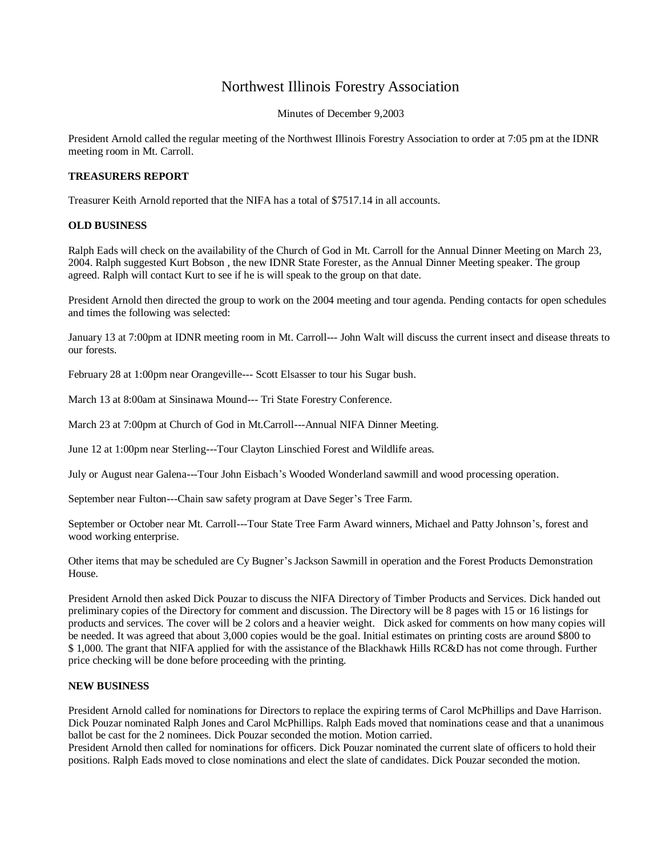## Northwest Illinois Forestry Association

Minutes of December 9,2003

President Arnold called the regular meeting of the Northwest Illinois Forestry Association to order at 7:05 pm at the IDNR meeting room in Mt. Carroll.

## **TREASURERS REPORT**

Treasurer Keith Arnold reported that the NIFA has a total of \$7517.14 in all accounts.

## **OLD BUSINESS**

Ralph Eads will check on the availability of the Church of God in Mt. Carroll for the Annual Dinner Meeting on March 23, 2004. Ralph suggested Kurt Bobson , the new IDNR State Forester, as the Annual Dinner Meeting speaker. The group agreed. Ralph will contact Kurt to see if he is will speak to the group on that date.

President Arnold then directed the group to work on the 2004 meeting and tour agenda. Pending contacts for open schedules and times the following was selected:

January 13 at 7:00pm at IDNR meeting room in Mt. Carroll--- John Walt will discuss the current insect and disease threats to our forests.

February 28 at 1:00pm near Orangeville--- Scott Elsasser to tour his Sugar bush.

March 13 at 8:00am at Sinsinawa Mound--- Tri State Forestry Conference.

March 23 at 7:00pm at Church of God in Mt.Carroll---Annual NIFA Dinner Meeting.

June 12 at 1:00pm near Sterling---Tour Clayton Linschied Forest and Wildlife areas.

July or August near Galena---Tour John Eisbach's Wooded Wonderland sawmill and wood processing operation.

September near Fulton---Chain saw safety program at Dave Seger's Tree Farm.

September or October near Mt. Carroll---Tour State Tree Farm Award winners, Michael and Patty Johnson's, forest and wood working enterprise.

Other items that may be scheduled are Cy Bugner's Jackson Sawmill in operation and the Forest Products Demonstration House.

President Arnold then asked Dick Pouzar to discuss the NIFA Directory of Timber Products and Services. Dick handed out preliminary copies of the Directory for comment and discussion. The Directory will be 8 pages with 15 or 16 listings for products and services. The cover will be 2 colors and a heavier weight. Dick asked for comments on how many copies will be needed. It was agreed that about 3,000 copies would be the goal. Initial estimates on printing costs are around \$800 to \$ 1,000. The grant that NIFA applied for with the assistance of the Blackhawk Hills RC&D has not come through. Further price checking will be done before proceeding with the printing.

## **NEW BUSINESS**

President Arnold called for nominations for Directors to replace the expiring terms of Carol McPhillips and Dave Harrison. Dick Pouzar nominated Ralph Jones and Carol McPhillips. Ralph Eads moved that nominations cease and that a unanimous ballot be cast for the 2 nominees. Dick Pouzar seconded the motion. Motion carried.

President Arnold then called for nominations for officers. Dick Pouzar nominated the current slate of officers to hold their positions. Ralph Eads moved to close nominations and elect the slate of candidates. Dick Pouzar seconded the motion.